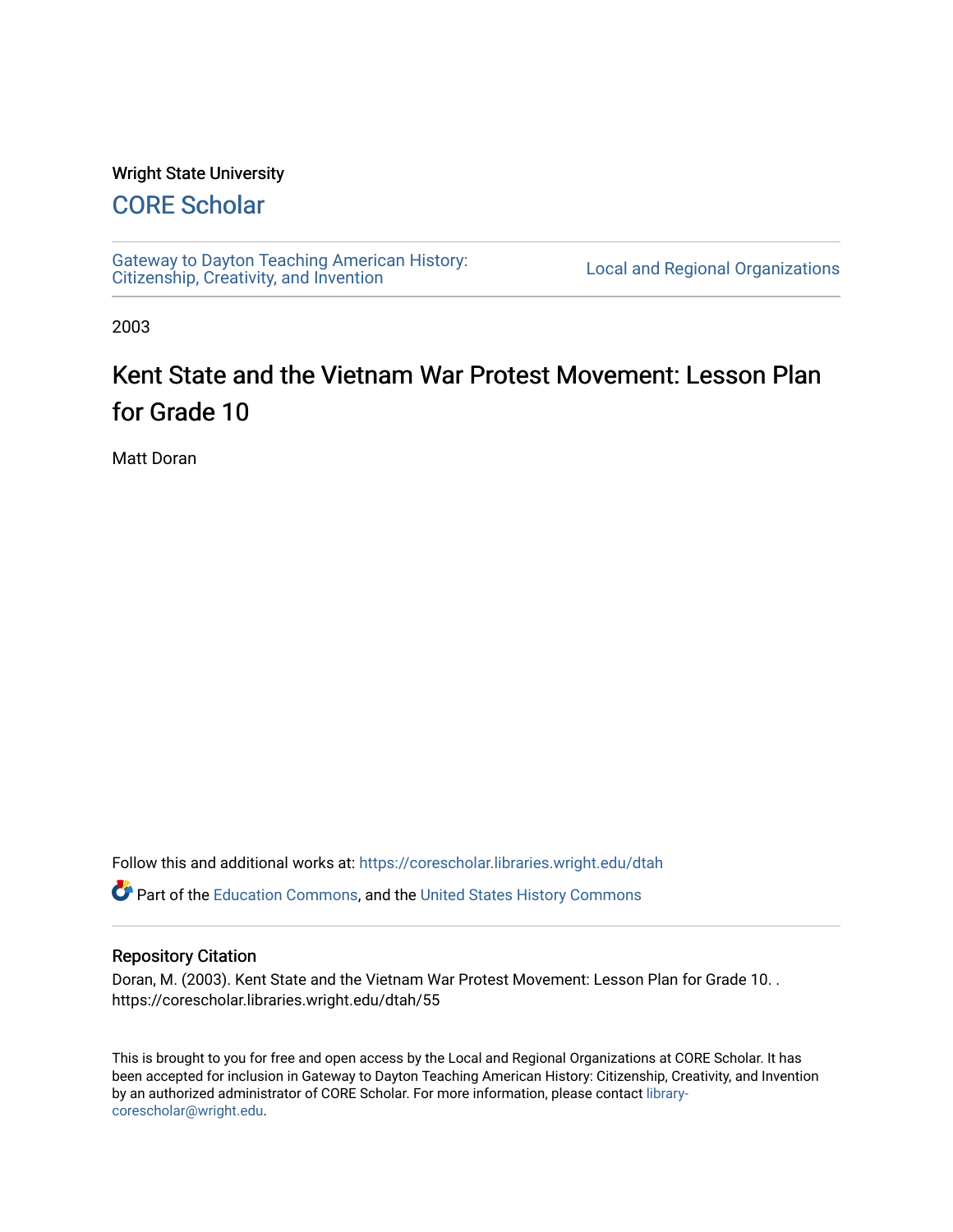#### Wright State University

# [CORE Scholar](https://corescholar.libraries.wright.edu/)

[Gateway to Dayton Teaching American History:](https://corescholar.libraries.wright.edu/dtah)  Gateway to Dayton Teaching American History.<br>[Citizenship, Creativity, and Invention](https://corescholar.libraries.wright.edu/dtah) Listory Local and Regional Organizations

2003

# Kent State and the Vietnam War Protest Movement: Lesson Plan for Grade 10

Matt Doran

Follow this and additional works at: [https://corescholar.libraries.wright.edu/dtah](https://corescholar.libraries.wright.edu/dtah?utm_source=corescholar.libraries.wright.edu%2Fdtah%2F55&utm_medium=PDF&utm_campaign=PDFCoverPages)

Part of the [Education Commons](http://network.bepress.com/hgg/discipline/784?utm_source=corescholar.libraries.wright.edu%2Fdtah%2F55&utm_medium=PDF&utm_campaign=PDFCoverPages), and the [United States History Commons](http://network.bepress.com/hgg/discipline/495?utm_source=corescholar.libraries.wright.edu%2Fdtah%2F55&utm_medium=PDF&utm_campaign=PDFCoverPages) 

#### Repository Citation

Doran, M. (2003). Kent State and the Vietnam War Protest Movement: Lesson Plan for Grade 10. . https://corescholar.libraries.wright.edu/dtah/55

This is brought to you for free and open access by the Local and Regional Organizations at CORE Scholar. It has been accepted for inclusion in Gateway to Dayton Teaching American History: Citizenship, Creativity, and Invention by an authorized administrator of CORE Scholar. For more information, please contact [library](mailto:library-corescholar@wright.edu)[corescholar@wright.edu](mailto:library-corescholar@wright.edu).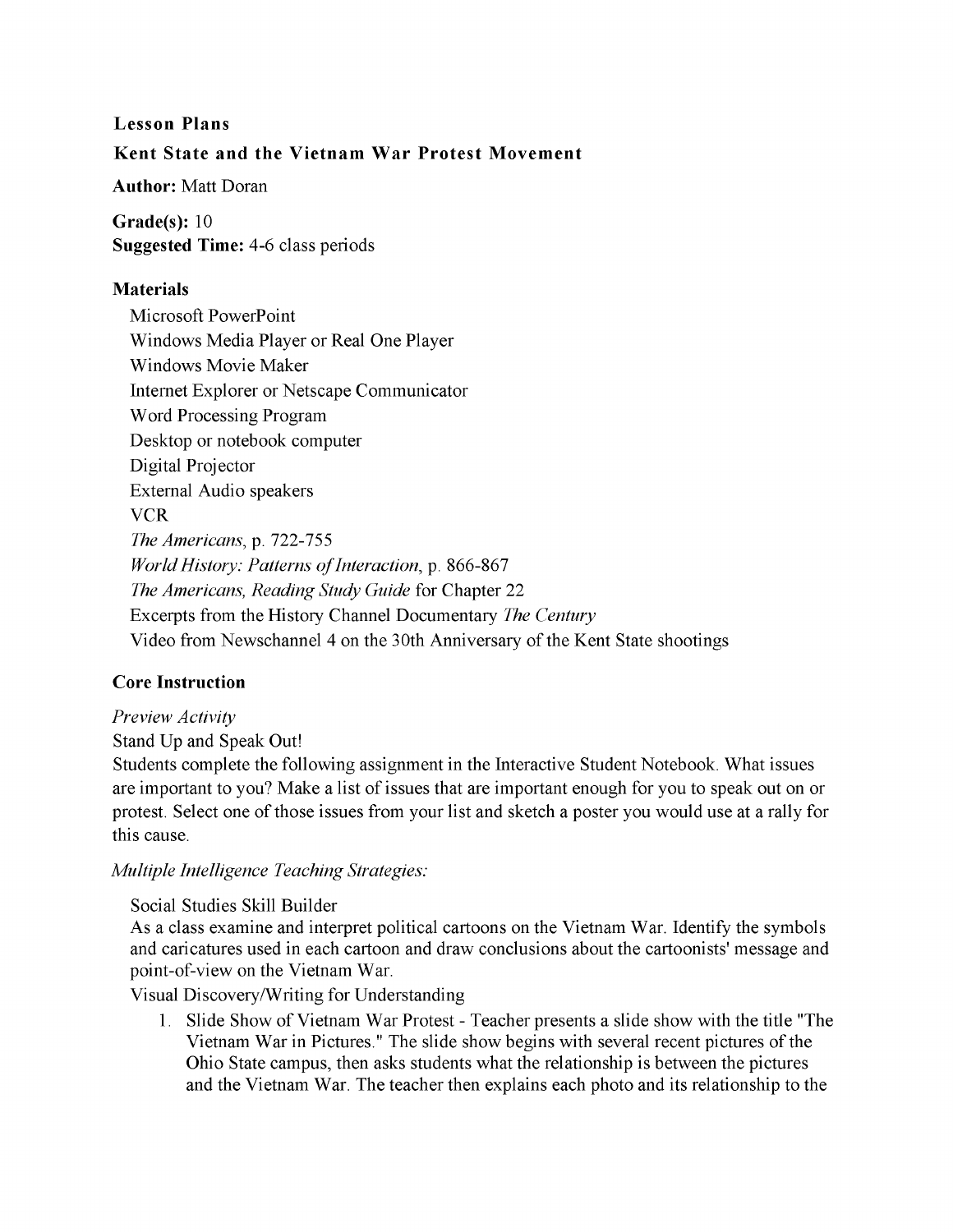# **Lesson Plans Kent State and the Vietnam War Protest Movement**

**Author:** Matt Doran

**Grade(s):** 10 **Suggested Time:** 4-6 class periods

## **Materials**

Microsoft PowerPoint Windows Media Player or Real One Player Windows Movie Maker Internet Explorer or Netscape Communicator Word Processing Program Desktop or notebook computer Digital Projector External Audio speakers **VCR** *The Americans,* p. 722-755 *World History: Patterns of Interaction, p. 866-867 The Americans, Reading Study Guide* for Chapter 22 Excerpts from the History Channel Documentary *The Century*  Video from Newschannel 4 on the 30th Anniversary of the Kent State shootings

# **Core Instruction**

# *Preview Activity*

Stand Up and Speak Out!

Students complete the following assignment in the Interactive Student Notebook. What issues are important to you? Make a list of issues that are important enough for you to speak out on or protest. Select one of those issues from your list and sketch a poster you would use at a rally for this cause.

*Multiple Intelligence Teaching Strategies:* 

Social Studies Skill Builder

As a class examine and interpret political cartoons on the Vietnam War. Identify the symbols and caricatures used in each cartoon and draw conclusions about the cartoonists' message and point-of-view on the Vietnam War.

Visual DiscoverylWriting for Understanding

1. Slide Show of Vietnam War Protest - Teacher presents a slide show with the title "The Vietnam War in Pictures." The slide show begins with several recent pictures of the Ohio State campus, then asks students what the relationship is between the pictures and the Vietnam War. The teacher then explains each photo and its relationship to the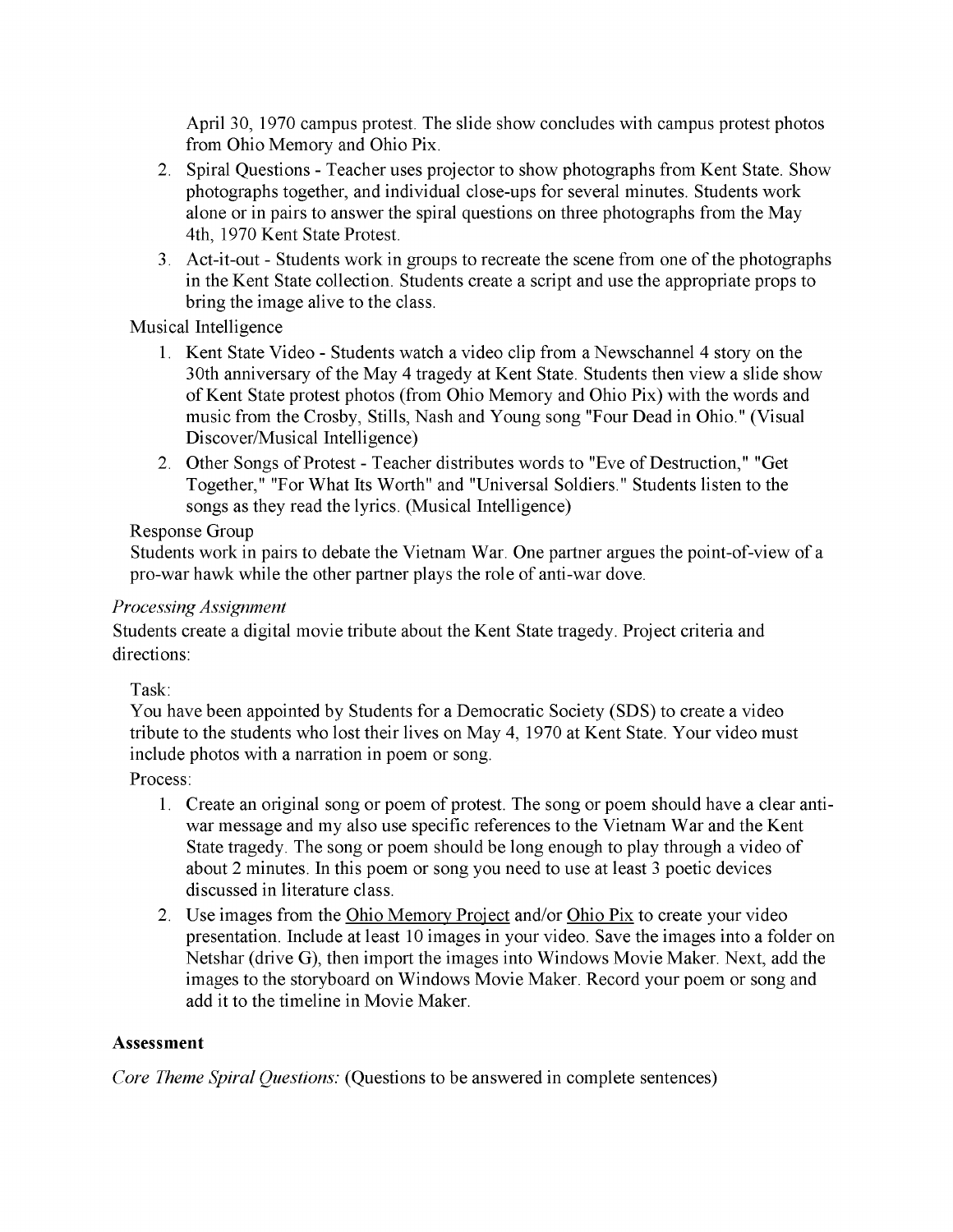April 30, 1970 campus protest. The slide show concludes with campus protest photos from Ohio Memory and Ohio Pix.

- 2. Spiral Questions Teacher uses projector to show photographs from Kent State. Show photographs together, and individual close-ups for several minutes. Students work alone or in pairs to answer the spiral questions on three photographs from the May 4th, 1970 Kent State Protest.
- 3. Act-it-out Students work in groups to recreate the scene from one of the photographs in the Kent State collection. Students create a script and use the appropriate props to bring the image alive to the class.

Musical Intelligence

- 1. Kent State Video Students watch a video clip from a Newschannel 4 story on the 30th anniversary of the May 4 tragedy at Kent State. Students then view a slide show of Kent State protest photos (from Ohio Memory and Ohio Pix) with the words and music from the Crosby, Stills, Nash and Young song "Four Dead in Ohio." (Visual Discover/Musical Intelligence)
- 2. Other Songs of Protest Teacher distributes words to "Eve of Destruction," "Get Together," "For What Its Worth" and "Universal Soldiers." Students listen to the songs as they read the lyrics. (Musical Intelligence)

### Response Group

Students work in pairs to debate the Vietnam War. One partner argues the point-of-view of a pro-war hawk while the other partner plays the role of anti-war dove.

#### *Processing Assignment*

Students create a digital movie tribute about the Kent State tragedy. Project criteria and directions:

Task:

You have been appointed by Students for a Democratic Society (SDS) to create a video tribute to the students who lost their lives on May 4, 1970 at Kent State. Your video must include photos with a narration in poem or song.

Process:

- 1. Create an original song or poem of protest. The song or poem should have a clear antiwar message and my also use specific references to the Vietnam War and the Kent State tragedy. The song or poem should be long enough to play through a video of about 2 minutes. **In** this poem or song you need to use at least 3 poetic devices discussed in literature class.
- 2. Use images from the Ohio Memory Project and/or Ohio Pix to create your video presentation. Include at least 10 images in your video. Save the images into a folder on Netshar (drive G), then import the images into Windows Movie Maker. Next, add the images to the storyboard on Windows Movie Maker. Record your poem or song and add it to the timeline in Movie Maker.

# **Assessment**

*Core Theme Spiral Questions:* (Questions to be answered in complete sentences)